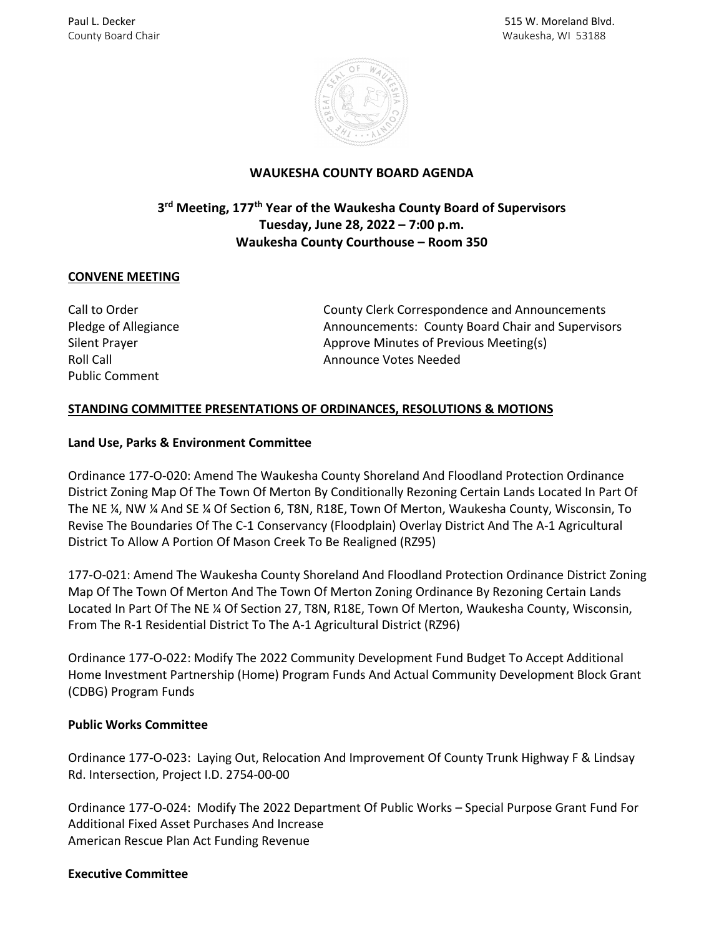

# **WAUKESHA COUNTY BOARD AGENDA**

# **3rd Meeting, 177th Year of the Waukesha County Board of Supervisors Tuesday, June 28, 2022 – 7:00 p.m. Waukesha County Courthouse – Room 350**

# **CONVENE MEETING**

Public Comment

Call to Order County Clerk Correspondence and Announcements Pledge of Allegiance **Announcements: County Board Chair and Supervisors** Announcements: County Board Chair and Supervisors Silent Prayer **Approve Minutes of Previous Meeting(s)** Approve Minutes of Previous Meeting(s) Roll Call **Announce Votes Needed** 

# **STANDING COMMITTEE PRESENTATIONS OF ORDINANCES, RESOLUTIONS & MOTIONS**

#### **Land Use, Parks & Environment Committee**

Ordinance 177-O-020: Amend The Waukesha County Shoreland And Floodland Protection Ordinance District Zoning Map Of The Town Of Merton By Conditionally Rezoning Certain Lands Located In Part Of The NE ¼, NW ¼ And SE ¼ Of Section 6, T8N, R18E, Town Of Merton, Waukesha County, Wisconsin, To Revise The Boundaries Of The C-1 Conservancy (Floodplain) Overlay District And The A-1 Agricultural District To Allow A Portion Of Mason Creek To Be Realigned (RZ95)

177-O-021: Amend The Waukesha County Shoreland And Floodland Protection Ordinance District Zoning Map Of The Town Of Merton And The Town Of Merton Zoning Ordinance By Rezoning Certain Lands Located In Part Of The NE ¼ Of Section 27, T8N, R18E, Town Of Merton, Waukesha County, Wisconsin, From The R-1 Residential District To The A-1 Agricultural District (RZ96)

Ordinance 177-O-022: Modify The 2022 Community Development Fund Budget To Accept Additional Home Investment Partnership (Home) Program Funds And Actual Community Development Block Grant (CDBG) Program Funds

# **Public Works Committee**

Ordinance 177-O-023: Laying Out, Relocation And Improvement Of County Trunk Highway F & Lindsay Rd. Intersection, Project I.D. 2754-00-00

Ordinance 177-O-024: Modify The 2022 Department Of Public Works – Special Purpose Grant Fund For Additional Fixed Asset Purchases And Increase American Rescue Plan Act Funding Revenue

#### **Executive Committee**